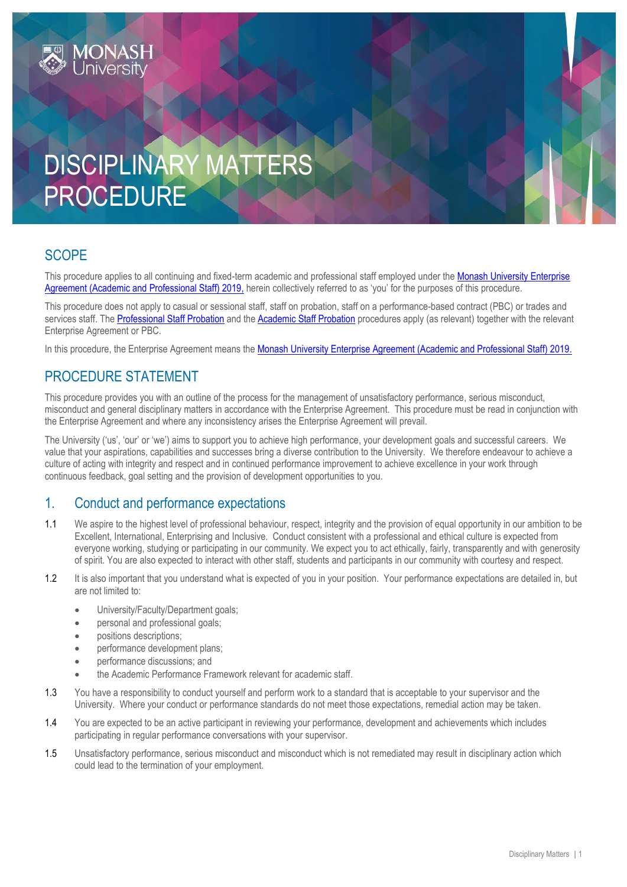# DISCIPLINARY MATTERS PROCEDURE

# **SCOPE**

This procedure applies to all continuing and fixed-term academic and professional staff employed under the Monash University Enterprise [Agreement \(Academic and Professional Staff\) 2019,](https://www.monash.edu/current-enterprise-agreements/academic-professional-2019) herein collectively referred to as 'you' for the purposes of this procedure.

This procedure does not apply to casual or sessional staff, staff on probation, staff on a performance-based contract (PBC) or trades and services staff. Th[e Professional Staff Probation](https://publicpolicydms.monash.edu/Monash/documents/1935715) and the [Academic Staff Probation](https://publicpolicydms.monash.edu/Monash/documents/1935659) procedures apply (as relevant) together with the relevant Enterprise Agreement or PBC.

In this procedure, the Enterprise Agreement means the [Monash University Enterprise Agreement \(Academic and Professional Staff\) 2019.](https://www.monash.edu/current-enterprise-agreements/academic-professional-2019)

# PROCEDURE STATEMENT

This procedure provides you with an outline of the process for the management of unsatisfactory performance, serious misconduct, misconduct and general disciplinary matters in accordance with the Enterprise Agreement. This procedure must be read in conjunction with the Enterprise Agreement and where any inconsistency arises the Enterprise Agreement will prevail.

The University ('us', 'our' or 'we') aims to support you to achieve high performance, your development goals and successful careers. We value that your aspirations, capabilities and successes bring a diverse contribution to the University. We therefore endeavour to achieve a culture of acting with integrity and respect and in continued performance improvement to achieve excellence in your work through continuous feedback, goal setting and the provision of development opportunities to you.

## 1. Conduct and performance expectations

- 1.1 We aspire to the highest level of professional behaviour, respect, integrity and the provision of equal opportunity in our ambition to be Excellent, International, Enterprising and Inclusive. Conduct consistent with a professional and ethical culture is expected from everyone working, studying or participating in our community. We expect you to act ethically, fairly, transparently and with generosity of spirit. You are also expected to interact with other staff, students and participants in our community with courtesy and respect.
- 1.2 It is also important that you understand what is expected of you in your position. Your performance expectations are detailed in, but are not limited to:
	- University/Faculty/Department goals;
	- personal and professional goals;
	- **•** positions descriptions:
	- performance development plans;
	- performance discussions; and
	- the Academic Performance Framework relevant for academic staff.
- 1.3 You have a responsibility to conduct yourself and perform work to a standard that is acceptable to your supervisor and the University. Where your conduct or performance standards do not meet those expectations, remedial action may be taken.
- 1.4 You are expected to be an active participant in reviewing your performance, development and achievements which includes participating in regular performance conversations with your supervisor.
- 1.5 Unsatisfactory performance, serious misconduct and misconduct which is not remediated may result in disciplinary action which could lead to the termination of your employment.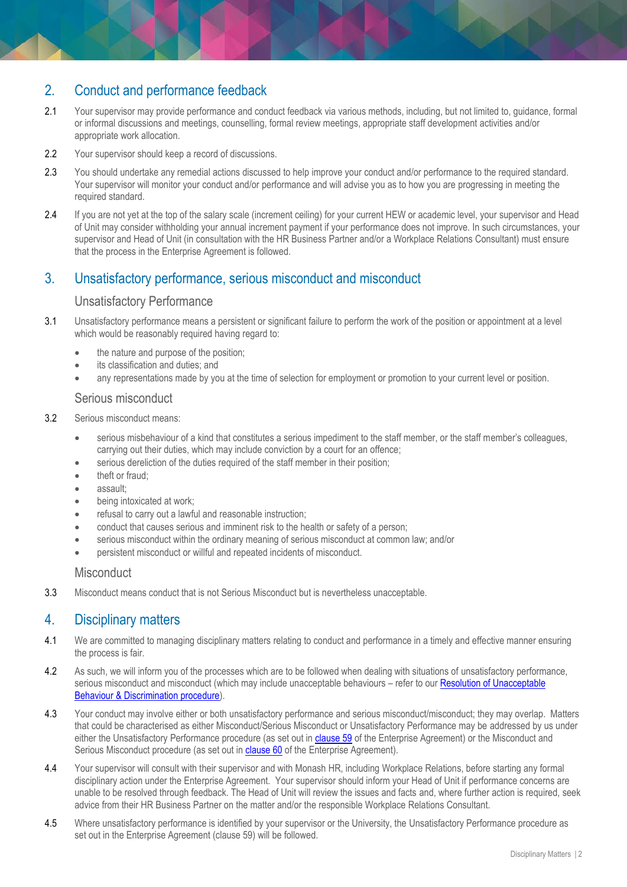# 2. Conduct and performance feedback

- 2.1 Your supervisor may provide performance and conduct feedback via various methods, including, but not limited to, guidance, formal or informal discussions and meetings, counselling, formal review meetings, appropriate staff development activities and/or appropriate work allocation.
- 2.2 Your supervisor should keep a record of discussions.
- 2.3 You should undertake any remedial actions discussed to help improve your conduct and/or performance to the required standard. Your supervisor will monitor your conduct and/or performance and will advise you as to how you are progressing in meeting the required standard.
- 2.4 If you are not yet at the top of the salary scale (increment ceiling) for your current HEW or academic level, your supervisor and Head of Unit may consider withholding your annual increment payment if your performance does not improve. In such circumstances, your supervisor and Head of Unit (in consultation with the HR Business Partner and/or a Workplace Relations Consultant) must ensure that the process in the Enterprise Agreement is followed.

# 3. Unsatisfactory performance, serious misconduct and misconduct

#### Unsatisfactory Performance

- 3.1 Unsatisfactory performance means a persistent or significant failure to perform the work of the position or appointment at a level which would be reasonably required having regard to:
	- the nature and purpose of the position;
	- its classification and duties; and
	- any representations made by you at the time of selection for employment or promotion to your current level or position.

#### Serious misconduct

- 3.2 Serious misconduct means:
	- serious misbehaviour of a kind that constitutes a serious impediment to the staff member, or the staff member's colleagues, carrying out their duties, which may include conviction by a court for an offence;
	- serious dereliction of the duties required of the staff member in their position;
	- theft or fraud;
	- assault;
	- being intoxicated at work;
	- refusal to carry out a lawful and reasonable instruction;
	- conduct that causes serious and imminent risk to the health or safety of a person;
	- serious misconduct within the ordinary meaning of serious misconduct at common law; and/or
	- persistent misconduct or willful and repeated incidents of misconduct.

#### **Misconduct**

3.3 Misconduct means conduct that is not Serious Misconduct but is nevertheless unacceptable.

# 4. Disciplinary matters

- 4.1 We are committed to managing disciplinary matters relating to conduct and performance in a timely and effective manner ensuring the process is fair.
- 4.2 As such, we will inform you of the processes which are to be followed when dealing with situations of unsatisfactory performance, serious misconduct and misconduct (which may include unacceptable behaviours – refer to our Resolution of Unacceptable [Behaviour & Discrimination procedure\)](https://publicpolicydms.monash.edu/Monash/documents/1935718).
- 4.3 Your conduct may involve either or both unsatisfactory performance and serious misconduct/misconduct; they may overlap. Matters that could be characterised as either Misconduct/Serious Misconduct or Unsatisfactory Performance may be addressed by us under either the Unsatisfactory Performance procedure (as set out in [clause 59](https://www.monash.edu/current-enterprise-agreements/academic-professional-2019#59) of the Enterprise Agreement) or the Misconduct and Serious Misconduct procedure (as set out in [clause 60](https://www.monash.edu/current-enterprise-agreements/academic-professional-2019#60) of the Enterprise Agreement).
- 4.4 Your supervisor will consult with their supervisor and with Monash HR, including Workplace Relations, before starting any formal disciplinary action under the Enterprise Agreement. Your supervisor should inform your Head of Unit if performance concerns are unable to be resolved through feedback. The Head of Unit will review the issues and facts and, where further action is required, seek advice from their HR Business Partner on the matter and/or the responsible Workplace Relations Consultant.
- 4.5 Where unsatisfactory performance is identified by your supervisor or the University, the Unsatisfactory Performance procedure as set out in the Enterprise Agreement (clause 59) will be followed.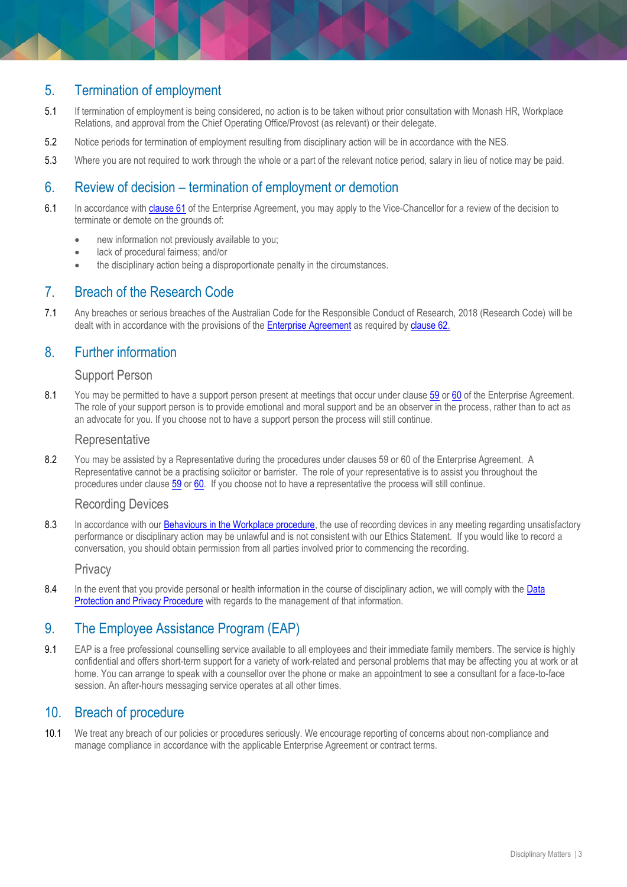# 5. Termination of employment

- 5.1 If termination of employment is being considered, no action is to be taken without prior consultation with Monash HR, Workplace Relations, and approval from the Chief Operating Office/Provost (as relevant) or their delegate.
- 5.2 Notice periods for termination of employment resulting from disciplinary action will be in accordance with the NES.
- 5.3 Where you are not required to work through the whole or a part of the relevant notice period, salary in lieu of notice may be paid.

# 6. Review of decision – termination of employment or demotion

- 6.1 In accordance with [clause 61](https://www.monash.edu/current-enterprise-agreements/academic-professional-2019#61) of the Enterprise Agreement, you may apply to the Vice-Chancellor for a review of the decision to terminate or demote on the grounds of:
	- new information not previously available to you;
	- lack of procedural fairness; and/or
	- the disciplinary action being a disproportionate penalty in the circumstances.

#### 7. Breach of the Research Code

7.1 Any breaches or serious breaches of the Australian Code for the Responsible Conduct of Research, 2018 (Research Code) will be dealt with in accordance with the provisions of th[e Enterprise Agreement](https://www.monash.edu/current-enterprise-agreements/academic-professional-2019) as required by [clause 62.](https://www.monash.edu/current-enterprise-agreements/academic-professional-2019#62) 

# 8. Further information

#### Support Person

8.1 You may be permitted to have a support person present at meetings that occur under clause [59](https://www.monash.edu/current-enterprise-agreements/academic-professional-2019#59) or [60](https://www.monash.edu/current-enterprise-agreements/academic-professional-2019#60) of the Enterprise Agreement. The role of your support person is to provide emotional and moral support and be an observer in the process, rather than to act as an advocate for you. If you choose not to have a support person the process will still continue.

#### **Representative**

8.2 You may be assisted by a Representative during the procedures under clauses 59 or 60 of the Enterprise Agreement. A Representative cannot be a practising solicitor or barrister. The role of your representative is to assist you throughout the procedures under claus[e 59](https://www.monash.edu/current-enterprise-agreements/academic-professional-2019#59) or [60.](https://www.monash.edu/current-enterprise-agreements/academic-professional-2019#60) If you choose not to have a representative the process will still continue.

#### Recording Devices

8.3 In accordance with ou[r Behaviours in the Workplace procedure,](https://publicpolicydms.monash.edu/Monash/documents/1935660) the use of recording devices in any meeting regarding unsatisfactory performance or disciplinary action may be unlawful and is not consistent with our Ethics Statement. If you would like to record a conversation, you should obtain permission from all parties involved prior to commencing the recording.

#### **Privacy**

8.4 In the event that you provide personal or health information in the course of disciplinary action, we will comply with the Data [Protection and Privacy Procedure](https://publicpolicydms.monash.edu/Monash/documents/1909233) with regards to the management of that information.

## 9. The [Employee Assistance Program \(EAP\)](https://www.monash.edu/__data/assets/pdf_file/0011/797456/Employee-assistance.pdf)

9.1 EAP is a free professional counselling service available to all employees and their immediate family members. The service is highly confidential and offers short-term support for a variety of work-related and personal problems that may be affecting you at work or at home. You can arrange to speak with a counsellor over the phone or make an appointment to see a consultant for a face-to-face session. An after-hours messaging service operates at all other times.

## 10. Breach of procedure

10.1 We treat any breach of our policies or procedures seriously. We encourage reporting of concerns about non-compliance and manage compliance in accordance with the applicable Enterprise Agreement or contract terms.